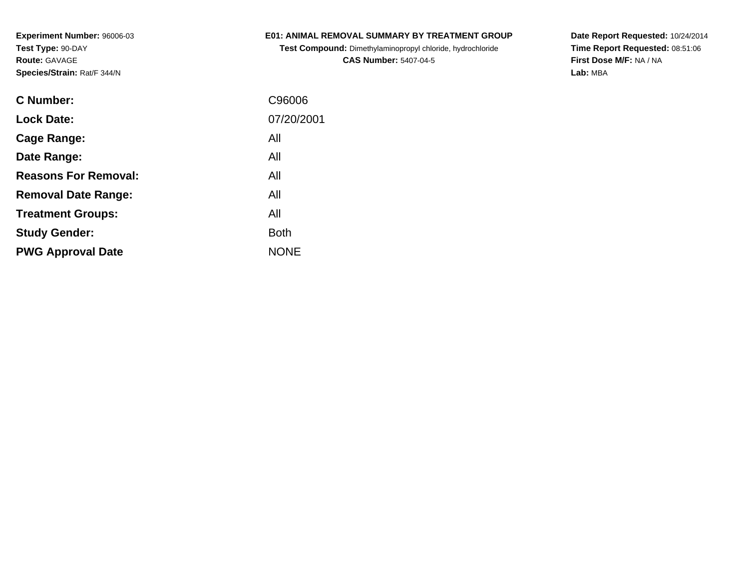**Experiment Number:** 96006-03**Test Type:** 90-DAY**Route:** GAVAGE**Species/Strain:** Rat/F 344/N

## **E01: ANIMAL REMOVAL SUMMARY BY TREATMENT GROUP**

**Test Compound:** Dimethylaminopropyl chloride, hydrochloride**CAS Number:** 5407-04-5

**Date Report Requested:** 10/24/2014 **Time Report Requested:** 08:51:06**First Dose M/F:** NA / NA**Lab:** MBA

| C Number:                   | C96006      |
|-----------------------------|-------------|
| <b>Lock Date:</b>           | 07/20/2001  |
| Cage Range:                 | All         |
| Date Range:                 | All         |
| <b>Reasons For Removal:</b> | All         |
| <b>Removal Date Range:</b>  | All         |
| <b>Treatment Groups:</b>    | All         |
| <b>Study Gender:</b>        | <b>Both</b> |
| <b>PWG Approval Date</b>    | <b>NONE</b> |
|                             |             |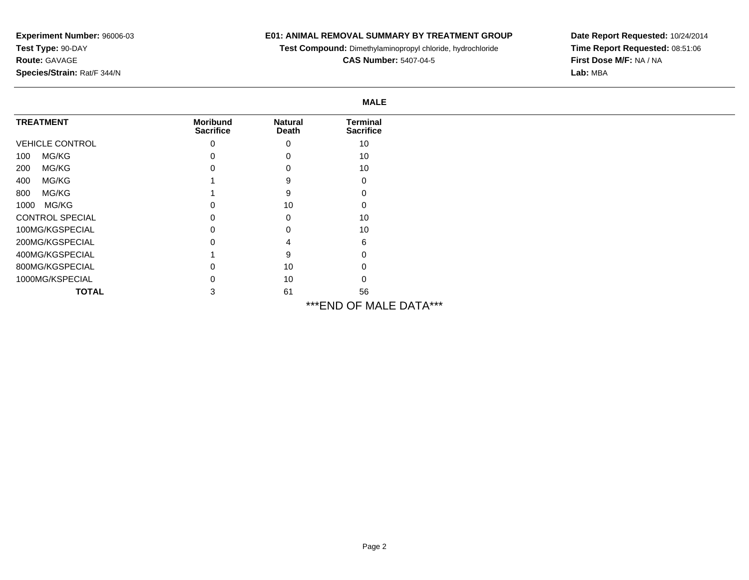## **Experiment Number:** 96006-03**Test Type:** 90-DAY**Route:** GAVAGE**Species/Strain:** Rat/F 344/N

## **E01: ANIMAL REMOVAL SUMMARY BY TREATMENT GROUP**

**Test Compound:** Dimethylaminopropyl chloride, hydrochloride

**CAS Number:** 5407-04-5

**Date Report Requested:** 10/24/2014 **Time Report Requested:** 08:51:06**First Dose M/F:** NA / NA**Lab:** MBA

|                        |                                     |                         | <b>MALE</b>                         |  |  |
|------------------------|-------------------------------------|-------------------------|-------------------------------------|--|--|
| <b>TREATMENT</b>       | <b>Moribund</b><br><b>Sacrifice</b> | <b>Natural</b><br>Death | <b>Terminal</b><br><b>Sacrifice</b> |  |  |
| <b>VEHICLE CONTROL</b> | 0                                   | $\mathbf 0$             | 10                                  |  |  |
| MG/KG<br>100           | $\Omega$                            | $\Omega$                | 10                                  |  |  |
| MG/KG<br>200           |                                     |                         | 10                                  |  |  |
| MG/KG<br>400           |                                     |                         | 0                                   |  |  |
| MG/KG<br>800           |                                     |                         |                                     |  |  |
| MG/KG<br>1000          |                                     | 10                      |                                     |  |  |
| <b>CONTROL SPECIAL</b> | 0                                   | 0                       | 10                                  |  |  |
| 100MG/KGSPECIAL        |                                     | ∩                       | 10                                  |  |  |
| 200MG/KGSPECIAL        |                                     |                         | 6                                   |  |  |
| 400MG/KGSPECIAL        |                                     |                         |                                     |  |  |
| 800MG/KGSPECIAL        |                                     | 10                      |                                     |  |  |
| 1000MG/KSPECIAL        | 0                                   | 10                      |                                     |  |  |
| <b>TOTAL</b>           | 3                                   | 61                      | 56                                  |  |  |
|                        |                                     |                         | *** END OF MALE DATA***             |  |  |